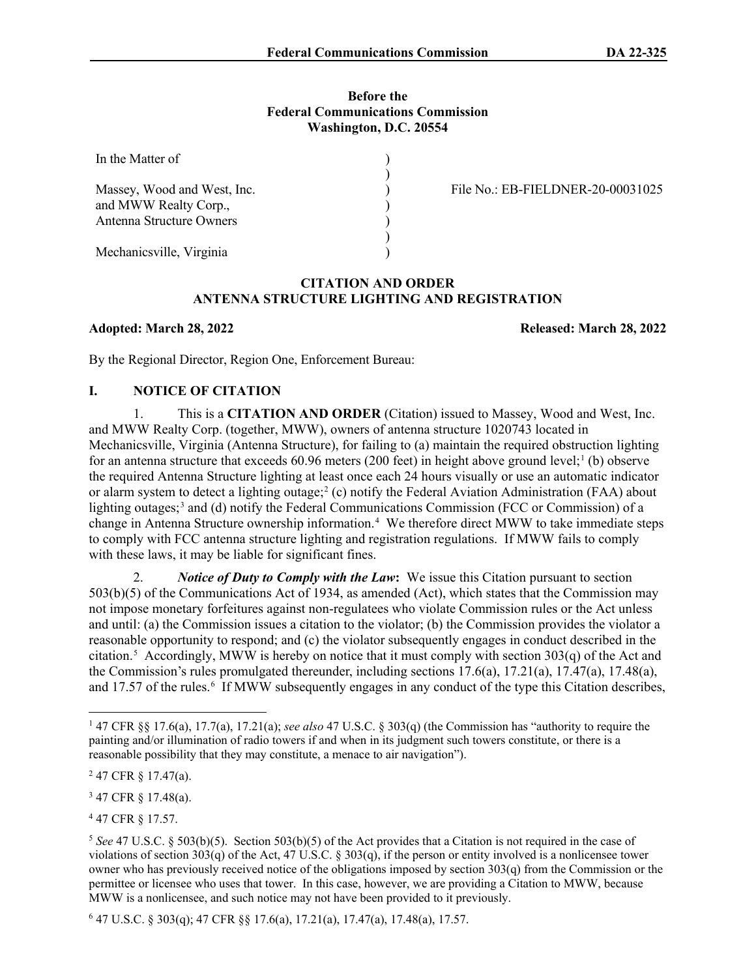#### **Before the Federal Communications Commission Washington, D.C. 20554**

) ) ) ) ) ) )

| In the Matter of                                                                 |
|----------------------------------------------------------------------------------|
| Massey, Wood and West, Inc.<br>and MWW Realty Corp.,<br>Antenna Structure Owners |
| Mechanicsville, Virginia                                                         |

File No.: EB-FIELDNER-20-00031025

## **CITATION AND ORDER ANTENNA STRUCTURE LIGHTING AND REGISTRATION**

**Adopted: March 28, 2022 Released: March 28, 2022**

By the Regional Director, Region One, Enforcement Bureau:

# **I. NOTICE OF CITATION**

1. This is a **CITATION AND ORDER** (Citation) issued to Massey, Wood and West, Inc. and MWW Realty Corp. (together, MWW), owners of antenna structure 1020743 located in Mechanicsville, Virginia (Antenna Structure), for failing to (a) maintain the required obstruction lighting for an antenna structure that exceeds  $60.96$  meters (200 feet) in height above ground level;<sup>[1](#page-0-0)</sup> (b) observe the required Antenna Structure lighting at least once each 24 hours visually or use an automatic indicator or alarm system to detect a lighting outage;[2](#page-0-1) (c) notify the Federal Aviation Administration (FAA) about lighting outages;<sup>[3](#page-0-2)</sup> and (d) notify the Federal Communications Commission (FCC or Commission) of a change in Antenna Structure ownership information. [4](#page-0-3) We therefore direct MWW to take immediate steps to comply with FCC antenna structure lighting and registration regulations. If MWW fails to comply with these laws, it may be liable for significant fines.

2. *Notice of Duty to Comply with the Law***:** We issue this Citation pursuant to section 503(b)(5) of the Communications Act of 1934, as amended (Act), which states that the Commission may not impose monetary forfeitures against non-regulatees who violate Commission rules or the Act unless and until: (a) the Commission issues a citation to the violator; (b) the Commission provides the violator a reasonable opportunity to respond; and (c) the violator subsequently engages in conduct described in the citation.[5](#page-0-4) Accordingly, MWW is hereby on notice that it must comply with section 303(q) of the Act and the Commission's rules promulgated thereunder, including sections 17.6(a), 17.21(a), 17.47(a), 17.48(a), and 17.57 of the rules.<sup>[6](#page-0-5)</sup> If MWW subsequently engages in any conduct of the type this Citation describes,

<span id="page-0-2"></span><sup>3</sup> 47 CFR § 17.48(a).

<span id="page-0-3"></span><sup>4</sup> 47 CFR § 17.57.

<span id="page-0-5"></span><sup>6</sup> 47 U.S.C. § 303(q); 47 CFR §§ 17.6(a), 17.21(a), 17.47(a), 17.48(a), 17.57.

<span id="page-0-0"></span><sup>1</sup> 47 CFR §§ 17.6(a), 17.7(a), 17.21(a); *see also* 47 U.S.C. § 303(q) (the Commission has "authority to require the painting and/or illumination of radio towers if and when in its judgment such towers constitute, or there is a reasonable possibility that they may constitute, a menace to air navigation").

<span id="page-0-1"></span> $247$  CFR  $\S$  17.47(a).

<span id="page-0-4"></span><sup>5</sup> *See* 47 U.S.C. § 503(b)(5). Section 503(b)(5) of the Act provides that a Citation is not required in the case of violations of section 303(q) of the Act, 47 U.S.C. § 303(q), if the person or entity involved is a nonlicensee tower owner who has previously received notice of the obligations imposed by section 303(q) from the Commission or the permittee or licensee who uses that tower. In this case, however, we are providing a Citation to MWW, because MWW is a nonlicensee, and such notice may not have been provided to it previously.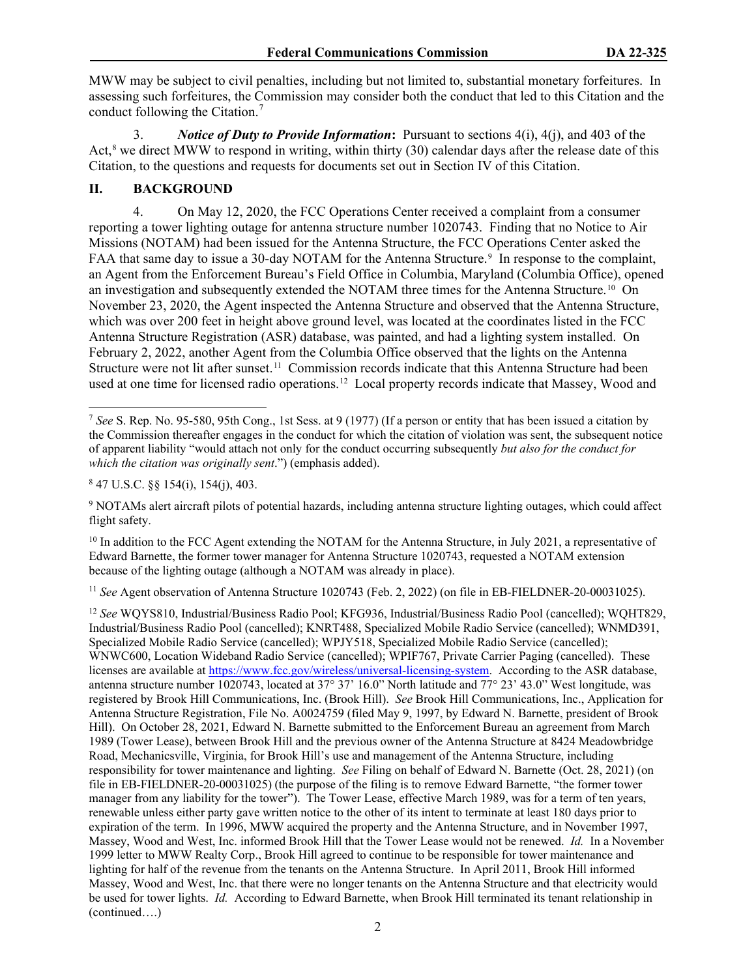MWW may be subject to civil penalties, including but not limited to, substantial monetary forfeitures. In assessing such forfeitures, the Commission may consider both the conduct that led to this Citation and the conduct following the Citation. [7](#page-1-0)

3. *Notice of Duty to Provide Information***:** Pursuant to sections 4(i), 4(j), and 403 of the Act, [8](#page-1-1) we direct MWW to respond in writing, within thirty (30) calendar days after the release date of this Citation, to the questions and requests for documents set out in Section IV of this Citation.

# **II. BACKGROUND**

4. On May 12, 2020, the FCC Operations Center received a complaint from a consumer reporting a tower lighting outage for antenna structure number 1020743. Finding that no Notice to Air Missions (NOTAM) had been issued for the Antenna Structure, the FCC Operations Center asked the FAA that same day to issue a 30-day NOTAM for the Antenna Structure.<sup>[9](#page-1-2)</sup> In response to the complaint, an Agent from the Enforcement Bureau's Field Office in Columbia, Maryland (Columbia Office), opened an investigation and subsequently extended the NOTAM three times for the Antenna Structure.<sup>[10](#page-1-3)</sup> On November 23, 2020, the Agent inspected the Antenna Structure and observed that the Antenna Structure, which was over 200 feet in height above ground level, was located at the coordinates listed in the FCC Antenna Structure Registration (ASR) database, was painted, and had a lighting system installed. On February 2, 2022, another Agent from the Columbia Office observed that the lights on the Antenna Structure were not lit after sunset.<sup>[11](#page-1-4)</sup> Commission records indicate that this Antenna Structure had been used at one time for licensed radio operations.<sup>12</sup> Local property records indicate that Massey, Wood and

<span id="page-1-3"></span><sup>10</sup> In addition to the FCC Agent extending the NOTAM for the Antenna Structure, in July 2021, a representative of Edward Barnette, the former tower manager for Antenna Structure 1020743, requested a NOTAM extension because of the lighting outage (although a NOTAM was already in place).

<span id="page-1-4"></span><sup>11</sup> *See* Agent observation of Antenna Structure 1020743 (Feb. 2, 2022) (on file in EB-FIELDNER-20-00031025).

<span id="page-1-0"></span><sup>7</sup> *See* S. Rep. No. 95-580, 95th Cong., 1st Sess. at 9 (1977) (If a person or entity that has been issued a citation by the Commission thereafter engages in the conduct for which the citation of violation was sent, the subsequent notice of apparent liability "would attach not only for the conduct occurring subsequently *but also for the conduct for which the citation was originally sent*.") (emphasis added).

<span id="page-1-1"></span> $8$  47 U.S.C.  $\S$ § 154(i), 154(j), 403.

<span id="page-1-2"></span><sup>9</sup> NOTAMs alert aircraft pilots of potential hazards, including antenna structure lighting outages, which could affect flight safety.

<span id="page-1-5"></span><sup>12</sup> *See* WQYS810, Industrial/Business Radio Pool; KFG936, Industrial/Business Radio Pool (cancelled); WQHT829, Industrial/Business Radio Pool (cancelled); KNRT488, Specialized Mobile Radio Service (cancelled); WNMD391, Specialized Mobile Radio Service (cancelled); WPJY518, Specialized Mobile Radio Service (cancelled); WNWC600, Location Wideband Radio Service (cancelled); WPIF767, Private Carrier Paging (cancelled). These licenses are available at [https://www.fcc.gov/wireless/universal-licensing-system.](https://www.fcc.gov/wireless/universal-licensing-system) According to the ASR database, antenna structure number 1020743, located at 37° 37' 16.0" North latitude and 77° 23' 43.0" West longitude, was registered by Brook Hill Communications, Inc. (Brook Hill). *See* Brook Hill Communications, Inc., Application for Antenna Structure Registration, File No. A0024759 (filed May 9, 1997, by Edward N. Barnette, president of Brook Hill). On October 28, 2021, Edward N. Barnette submitted to the Enforcement Bureau an agreement from March 1989 (Tower Lease), between Brook Hill and the previous owner of the Antenna Structure at 8424 Meadowbridge Road, Mechanicsville, Virginia, for Brook Hill's use and management of the Antenna Structure, including responsibility for tower maintenance and lighting. *See* Filing on behalf of Edward N. Barnette (Oct. 28, 2021) (on file in EB-FIELDNER-20-00031025) (the purpose of the filing is to remove Edward Barnette, "the former tower manager from any liability for the tower"). The Tower Lease, effective March 1989, was for a term of ten years, renewable unless either party gave written notice to the other of its intent to terminate at least 180 days prior to expiration of the term. In 1996, MWW acquired the property and the Antenna Structure, and in November 1997, Massey, Wood and West, Inc. informed Brook Hill that the Tower Lease would not be renewed. *Id.* In a November 1999 letter to MWW Realty Corp., Brook Hill agreed to continue to be responsible for tower maintenance and lighting for half of the revenue from the tenants on the Antenna Structure. In April 2011, Brook Hill informed Massey, Wood and West, Inc. that there were no longer tenants on the Antenna Structure and that electricity would be used for tower lights. *Id.* According to Edward Barnette, when Brook Hill terminated its tenant relationship in (continued….)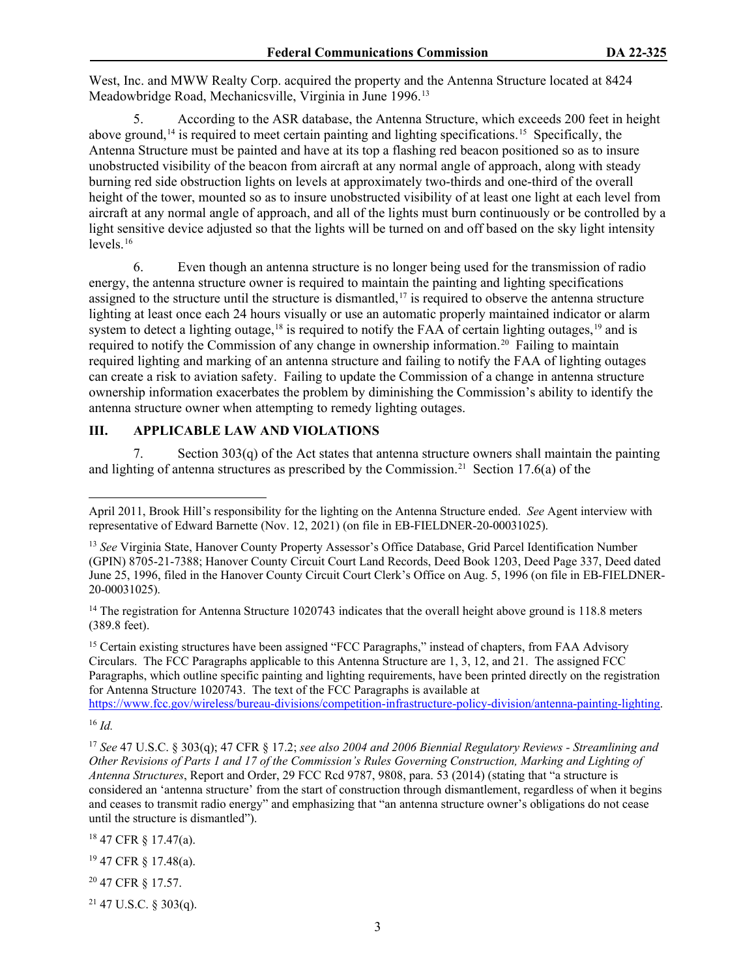West, Inc. and MWW Realty Corp. acquired the property and the Antenna Structure located at 8424 Meadowbridge Road, Mechanicsville, Virginia in June 1996.[13](#page-2-0)

5. According to the ASR database, the Antenna Structure, which exceeds 200 feet in height above ground, [14](#page-2-1) is required to meet certain painting and lighting specifications.[15](#page-2-2) Specifically, the Antenna Structure must be painted and have at its top a flashing red beacon positioned so as to insure unobstructed visibility of the beacon from aircraft at any normal angle of approach, along with steady burning red side obstruction lights on levels at approximately two-thirds and one-third of the overall height of the tower, mounted so as to insure unobstructed visibility of at least one light at each level from aircraft at any normal angle of approach, and all of the lights must burn continuously or be controlled by a light sensitive device adjusted so that the lights will be turned on and off based on the sky light intensity levels. [16](#page-2-3)

6. Even though an antenna structure is no longer being used for the transmission of radio energy, the antenna structure owner is required to maintain the painting and lighting specifications assigned to the structure until the structure is dismantled,<sup>[17](#page-2-4)</sup> is required to observe the antenna structure lighting at least once each 24 hours visually or use an automatic properly maintained indicator or alarm system to detect a lighting outage,<sup>[18](#page-2-5)</sup> is required to notify the FAA of certain lighting outages,<sup>[19](#page-2-6)</sup> and is required to notify the Commission of any change in ownership information. [20](#page-2-7) Failing to maintain required lighting and marking of an antenna structure and failing to notify the FAA of lighting outages can create a risk to aviation safety. Failing to update the Commission of a change in antenna structure ownership information exacerbates the problem by diminishing the Commission's ability to identify the antenna structure owner when attempting to remedy lighting outages.

## **III. APPLICABLE LAW AND VIOLATIONS**

7. Section 303(q) of the Act states that antenna structure owners shall maintain the painting and lighting of antenna structures as prescribed by the Commission.<sup>21</sup> Section 17.6(a) of the

<span id="page-2-2"></span><sup>15</sup> Certain existing structures have been assigned "FCC Paragraphs," instead of chapters, from FAA Advisory Circulars. The FCC Paragraphs applicable to this Antenna Structure are 1, 3, 12, and 21. The assigned FCC Paragraphs, which outline specific painting and lighting requirements, have been printed directly on the registration for Antenna Structure 1020743. The text of the FCC Paragraphs is available at

[https://www.fcc.gov/wireless/bureau-divisions/competition-infrastructure-policy-division/antenna-painting-lighting.](https://www.fcc.gov/wireless/bureau-divisions/competition-infrastructure-policy-division/antenna-painting-lighting)

<span id="page-2-5"></span><sup>18</sup> 47 CFR § 17.47(a).

<span id="page-2-6"></span><sup>19</sup> 47 CFR § 17.48(a).

<span id="page-2-7"></span><sup>20</sup> 47 CFR § 17.57.

<span id="page-2-8"></span> $21$  47 U.S.C. § 303(q).

April 2011, Brook Hill's responsibility for the lighting on the Antenna Structure ended. *See* Agent interview with representative of Edward Barnette (Nov. 12, 2021) (on file in EB-FIELDNER-20-00031025).

<span id="page-2-0"></span><sup>13</sup> *See* Virginia State, Hanover County Property Assessor's Office Database, Grid Parcel Identification Number (GPIN) 8705-21-7388; Hanover County Circuit Court Land Records, Deed Book 1203, Deed Page 337, Deed dated June 25, 1996, filed in the Hanover County Circuit Court Clerk's Office on Aug. 5, 1996 (on file in EB-FIELDNER-20-00031025).

<span id="page-2-1"></span><sup>&</sup>lt;sup>14</sup> The registration for Antenna Structure 1020743 indicates that the overall height above ground is 118.8 meters (389.8 feet).

<span id="page-2-3"></span><sup>16</sup> *Id.*

<span id="page-2-4"></span><sup>17</sup> *See* 47 U.S.C. § 303(q); 47 CFR § 17.2; *see also 2004 and 2006 Biennial Regulatory Reviews - Streamlining and Other Revisions of Parts 1 and 17 of the Commission's Rules Governing Construction, Marking and Lighting of Antenna Structures*, Report and Order, 29 FCC Rcd 9787, 9808, para. 53 (2014) (stating that "a structure is considered an 'antenna structure' from the start of construction through dismantlement, regardless of when it begins and ceases to transmit radio energy" and emphasizing that "an antenna structure owner's obligations do not cease until the structure is dismantled").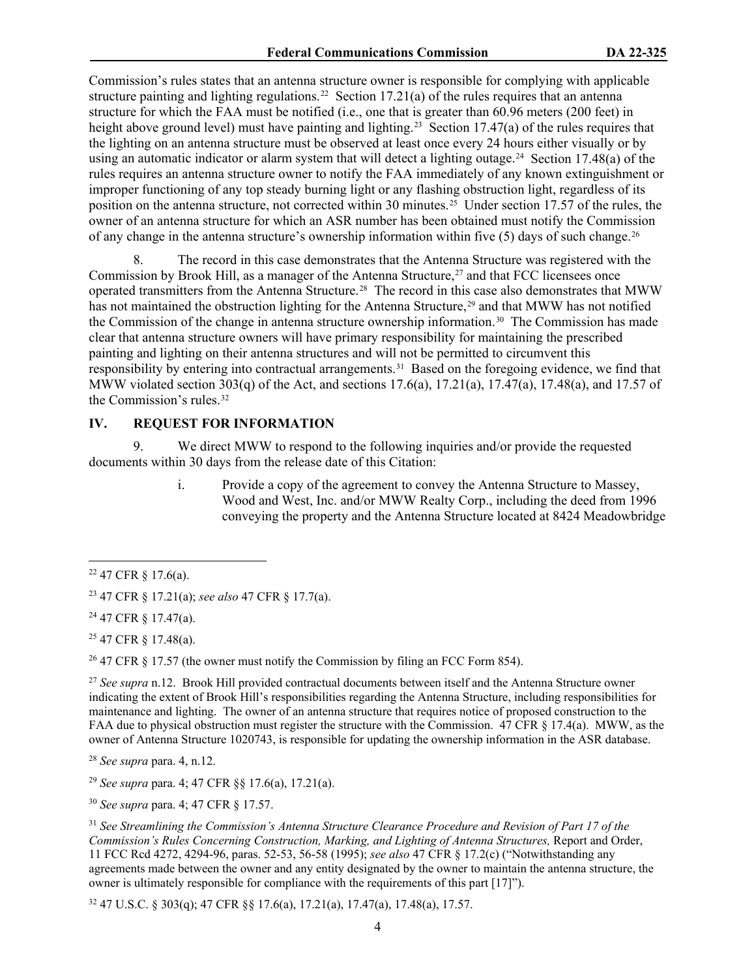Commission's rules states that an antenna structure owner is responsible for complying with applicable structure painting and lighting regulations.<sup>[22](#page-3-0)</sup> Section 17.21(a) of the rules requires that an antenna structure for which the FAA must be notified (i.e., one that is greater than 60.96 meters (200 feet) in height above ground level) must have painting and lighting.<sup>[23](#page-3-1)</sup> Section 17.47(a) of the rules requires that the lighting on an antenna structure must be observed at least once every 24 hours either visually or by using an automatic indicator or alarm system that will detect a lighting outage.<sup>[24](#page-3-2)</sup> Section 17.48(a) of the rules requires an antenna structure owner to notify the FAA immediately of any known extinguishment or improper functioning of any top steady burning light or any flashing obstruction light, regardless of its position on the antenna structure, not corrected within 30 minutes.[25](#page-3-3) Under section 17.57 of the rules, the owner of an antenna structure for which an ASR number has been obtained must notify the Commission of any change in the antenna structure's ownership information within five (5) days of such change.<sup>[26](#page-3-4)</sup>

8. The record in this case demonstrates that the Antenna Structure was registered with the Commission by Brook Hill, as a manager of the Antenna Structure, [27](#page-3-5) and that FCC licensees once operated transmitters from the Antenna Structure. [28](#page-3-6) The record in this case also demonstrates that MWW has not maintained the obstruction lighting for the Antenna Structure,<sup>[29](#page-3-7)</sup> and that MWW has not notified the Commission of the change in antenna structure ownership information.<sup>[30](#page-3-8)</sup> The Commission has made clear that antenna structure owners will have primary responsibility for maintaining the prescribed painting and lighting on their antenna structures and will not be permitted to circumvent this responsibility by entering into contractual arrangements.[31](#page-3-9) Based on the foregoing evidence, we find that MWW violated section 303(q) of the Act, and sections 17.6(a), 17.21(a), 17.47(a), 17.48(a), and 17.57 of the Commission's rules.[32](#page-3-10) 

### **IV. REQUEST FOR INFORMATION**

9. We direct MWW to respond to the following inquiries and/or provide the requested documents within 30 days from the release date of this Citation:

> i. Provide a copy of the agreement to convey the Antenna Structure to Massey, Wood and West, Inc. and/or MWW Realty Corp., including the deed from 1996 conveying the property and the Antenna Structure located at 8424 Meadowbridge

<span id="page-3-2"></span><sup>24</sup> 47 CFR § 17.47(a).

<span id="page-3-3"></span><sup>25</sup> 47 CFR § 17.48(a).

<span id="page-3-4"></span><sup>26</sup> 47 CFR  $\S$  17.57 (the owner must notify the Commission by filing an FCC Form 854).

<span id="page-3-5"></span><sup>27</sup> See supra n.12. Brook Hill provided contractual documents between itself and the Antenna Structure owner indicating the extent of Brook Hill's responsibilities regarding the Antenna Structure, including responsibilities for maintenance and lighting. The owner of an antenna structure that requires notice of proposed construction to the FAA due to physical obstruction must register the structure with the Commission. 47 CFR § 17.4(a). MWW, as the owner of Antenna Structure 1020743, is responsible for updating the ownership information in the ASR database.

<span id="page-3-6"></span><sup>28</sup> *See supra* para. 4, n.12.

<span id="page-3-7"></span><sup>29</sup> *See supra* para. 4; 47 CFR §§ 17.6(a), 17.21(a).

<span id="page-3-8"></span><sup>30</sup> *See supra* para. 4; 47 CFR § 17.57.

<span id="page-3-9"></span><sup>31</sup> *See Streamlining the Commission's Antenna Structure Clearance Procedure and Revision of Part 17 of the Commission's Rules Concerning Construction, Marking, and Lighting of Antenna Structures,* Report and Order, 11 FCC Rcd 4272, 4294-96, paras. 52-53, 56-58 (1995); *see also* 47 CFR § 17.2(c) ("Notwithstanding any agreements made between the owner and any entity designated by the owner to maintain the antenna structure, the owner is ultimately responsible for compliance with the requirements of this part [17]").

<span id="page-3-10"></span><sup>32</sup> 47 U.S.C. § 303(q); 47 CFR §§ 17.6(a), 17.21(a), 17.47(a), 17.48(a), 17.57.

<span id="page-3-0"></span> $22$  47 CFR § 17.6(a).

<span id="page-3-1"></span><sup>23</sup> 47 CFR § 17.21(a); *see also* 47 CFR § 17.7(a).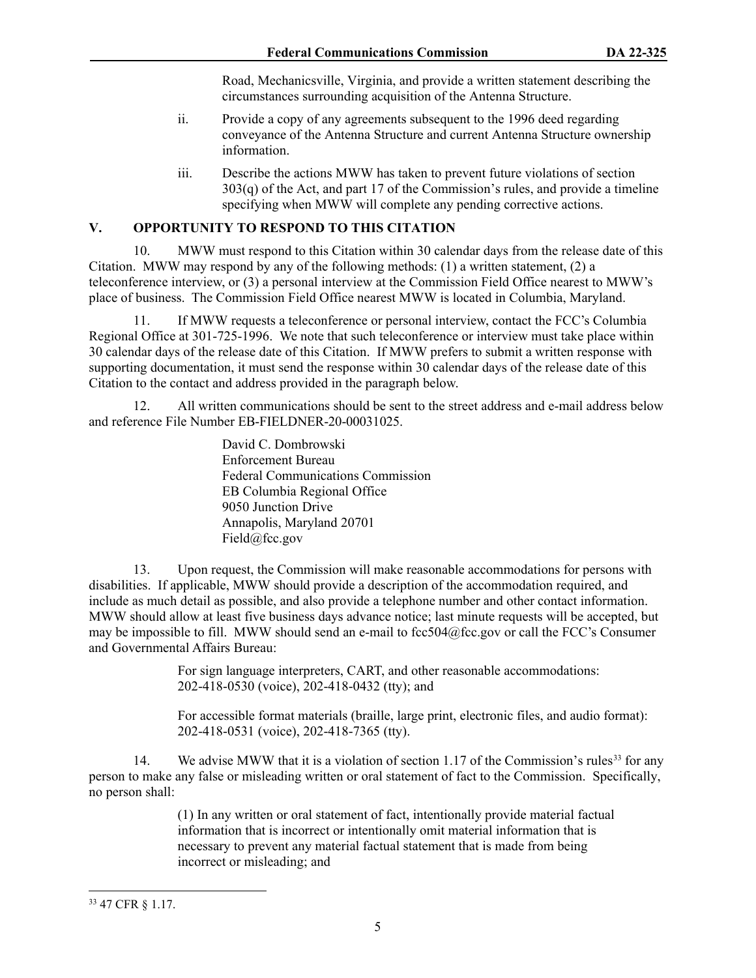Road, Mechanicsville, Virginia, and provide a written statement describing the circumstances surrounding acquisition of the Antenna Structure.

- ii. Provide a copy of any agreements subsequent to the 1996 deed regarding conveyance of the Antenna Structure and current Antenna Structure ownership information.
- iii. Describe the actions MWW has taken to prevent future violations of section  $303(q)$  of the Act, and part 17 of the Commission's rules, and provide a timeline specifying when MWW will complete any pending corrective actions.

# **V. OPPORTUNITY TO RESPOND TO THIS CITATION**

10. MWW must respond to this Citation within 30 calendar days from the release date of this Citation. MWW may respond by any of the following methods:  $(1)$  a written statement,  $(2)$  a teleconference interview, or (3) a personal interview at the Commission Field Office nearest to MWW's place of business. The Commission Field Office nearest MWW is located in Columbia, Maryland.

11. If MWW requests a teleconference or personal interview, contact the FCC's Columbia Regional Office at 301-725-1996. We note that such teleconference or interview must take place within 30 calendar days of the release date of this Citation. If MWW prefers to submit a written response with supporting documentation, it must send the response within 30 calendar days of the release date of this Citation to the contact and address provided in the paragraph below.

12. All written communications should be sent to the street address and e-mail address below and reference File Number EB-FIELDNER-20-00031025.

> David C. Dombrowski Enforcement Bureau Federal Communications Commission EB Columbia Regional Office 9050 Junction Drive Annapolis, Maryland 20701 Field@fcc.gov

13. Upon request, the Commission will make reasonable accommodations for persons with disabilities. If applicable, MWW should provide a description of the accommodation required, and include as much detail as possible, and also provide a telephone number and other contact information. MWW should allow at least five business days advance notice; last minute requests will be accepted, but may be impossible to fill. MWW should send an e-mail to fcc504@fcc.gov or call the FCC's Consumer and Governmental Affairs Bureau:

> For sign language interpreters, CART, and other reasonable accommodations: 202-418-0530 (voice), 202-418-0432 (tty); and

 For accessible format materials (braille, large print, electronic files, and audio format): 202-418-0531 (voice), 202-418-7365 (tty).

14. We advise MWW that it is a violation of section 1.17 of the Commission's rules<sup>[33](#page-4-0)</sup> for any person to make any false or misleading written or oral statement of fact to the Commission. Specifically, no person shall:

> (1) In any written or oral statement of fact, intentionally provide material factual information that is incorrect or intentionally omit material information that is necessary to prevent any material factual statement that is made from being incorrect or misleading; and

<span id="page-4-0"></span><sup>33</sup> 47 CFR § 1.17.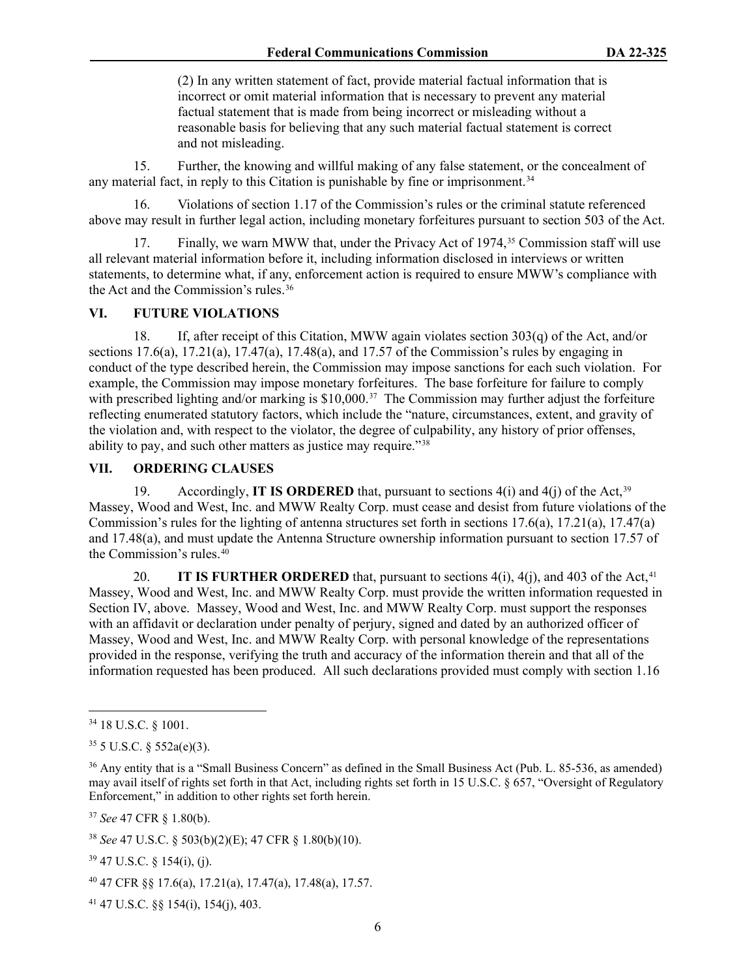(2) In any written statement of fact, provide material factual information that is incorrect or omit material information that is necessary to prevent any material factual statement that is made from being incorrect or misleading without a reasonable basis for believing that any such material factual statement is correct and not misleading.

15. Further, the knowing and willful making of any false statement, or the concealment of any material fact, in reply to this Citation is punishable by fine or imprisonment. [34](#page-5-0)

16. Violations of section 1.17 of the Commission's rules or the criminal statute referenced above may result in further legal action, including monetary forfeitures pursuant to section 503 of the Act.

17. Finally, we warn MWW that, under the Privacy Act of 1974, [35](#page-5-1) Commission staff will use all relevant material information before it, including information disclosed in interviews or written statements, to determine what, if any, enforcement action is required to ensure MWW's compliance with the Act and the Commission's rules.[36](#page-5-2)

## **VI. FUTURE VIOLATIONS**

18. If, after receipt of this Citation, MWW again violates section 303(q) of the Act, and/or sections  $17.6(a)$ ,  $17.21(a)$ ,  $17.47(a)$ ,  $17.48(a)$ , and  $17.57$  of the Commission's rules by engaging in conduct of the type described herein, the Commission may impose sanctions for each such violation. For example, the Commission may impose monetary forfeitures. The base forfeiture for failure to comply with prescribed lighting and/or marking is \$10,000.<sup>[37](#page-5-3)</sup> The Commission may further adjust the forfeiture reflecting enumerated statutory factors, which include the "nature, circumstances, extent, and gravity of the violation and, with respect to the violator, the degree of culpability, any history of prior offenses, ability to pay, and such other matters as justice may require."[38](#page-5-4)

# **VII. ORDERING CLAUSES**

19. Accordingly, **IT IS ORDERED** that, pursuant to sections 4(i) and 4(j) of the Act,<sup>[39](#page-5-5)</sup> Massey, Wood and West, Inc. and MWW Realty Corp. must cease and desist from future violations of the Commission's rules for the lighting of antenna structures set forth in sections 17.6(a), 17.21(a), 17.47(a) and 17.48(a), and must update the Antenna Structure ownership information pursuant to section 17.57 of the Commission's rules.[40](#page-5-6) 

20. **IT IS FURTHER ORDERED** that, pursuant to sections  $4(i)$ ,  $4(j)$ , and  $403$  of the Act,  $41$ Massey, Wood and West, Inc. and MWW Realty Corp. must provide the written information requested in Section IV, above. Massey, Wood and West, Inc. and MWW Realty Corp. must support the responses with an affidavit or declaration under penalty of perjury, signed and dated by an authorized officer of Massey, Wood and West, Inc. and MWW Realty Corp. with personal knowledge of the representations provided in the response, verifying the truth and accuracy of the information therein and that all of the information requested has been produced. All such declarations provided must comply with section 1.16

<span id="page-5-3"></span><sup>37</sup> *See* 47 CFR § 1.80(b).

<span id="page-5-5"></span> $39$  47 U.S.C.  $\frac{154(i)}{i}$ , (j).

<span id="page-5-0"></span><sup>34</sup> 18 U.S.C. § 1001.

<span id="page-5-1"></span> $35$  5 U.S.C.  $\frac{552a(e)(3)}{2}$ .

<span id="page-5-2"></span><sup>&</sup>lt;sup>36</sup> Any entity that is a "Small Business Concern" as defined in the Small Business Act (Pub. L. 85-536, as amended) may avail itself of rights set forth in that Act, including rights set forth in 15 U.S.C. § 657, "Oversight of Regulatory Enforcement," in addition to other rights set forth herein.

<span id="page-5-4"></span><sup>38</sup> *See* 47 U.S.C. § 503(b)(2)(E); 47 CFR § 1.80(b)(10).

<span id="page-5-6"></span><sup>40</sup> 47 CFR §§ 17.6(a), 17.21(a), 17.47(a), 17.48(a), 17.57.

<span id="page-5-7"></span><sup>41</sup> 47 U.S.C. §§ 154(i), 154(j), 403.